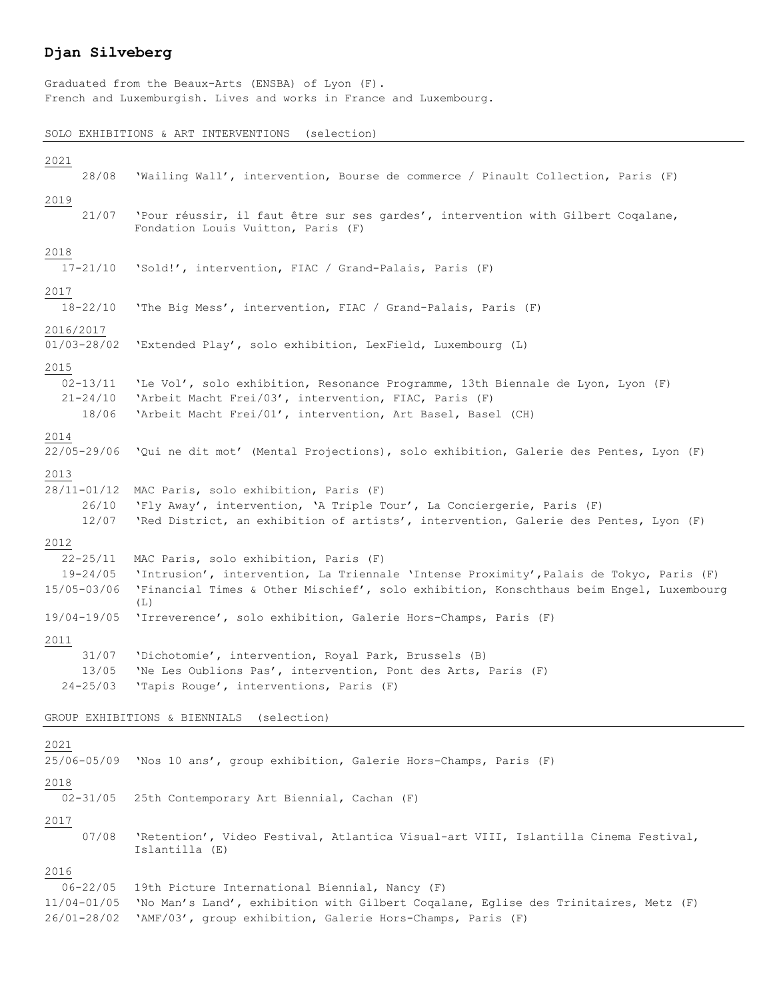## **Djan Silveberg**

Graduated from the Beaux-Arts (ENSBA) of Lyon (F). French and Luxemburgish. Lives and works in France and Luxembourg.

## SOLO EXHIBITIONS & ART INTERVENTIONS (selection)

| 2021<br>28/08                                              | 'Wailing Wall', intervention, Bourse de commerce / Pinault Collection, Paris (F)                                                                                                                                                   |  |  |  |  |
|------------------------------------------------------------|------------------------------------------------------------------------------------------------------------------------------------------------------------------------------------------------------------------------------------|--|--|--|--|
| 2019                                                       |                                                                                                                                                                                                                                    |  |  |  |  |
| 21/07                                                      | 'Pour réussir, il faut être sur ses gardes', intervention with Gilbert Cogalane,<br>Fondation Louis Vuitton, Paris (F)                                                                                                             |  |  |  |  |
| 2018<br>$17 - 21/10$                                       | 'Sold!', intervention, FIAC / Grand-Palais, Paris (F)                                                                                                                                                                              |  |  |  |  |
| 2017<br>$18 - 22/10$                                       | 'The Big Mess', intervention, FIAC / Grand-Palais, Paris (F)                                                                                                                                                                       |  |  |  |  |
| 2016/2017<br>$01/03 - 28/02$                               | 'Extended Play', solo exhibition, LexField, Luxembourg (L)                                                                                                                                                                         |  |  |  |  |
| 2015<br>$02 - 13/11$<br>$21 - 24/10$<br>18/06              | 'Le Vol', solo exhibition, Resonance Programme, 13th Biennale de Lyon, Lyon (F)<br>'Arbeit Macht Frei/03', intervention, FIAC, Paris (F)<br>'Arbeit Macht Frei/01', intervention, Art Basel, Basel (CH)                            |  |  |  |  |
| 2014<br>22/05-29/06                                        | 'Qui ne dit mot' (Mental Projections), solo exhibition, Galerie des Pentes, Lyon (F)                                                                                                                                               |  |  |  |  |
| 2013<br>28/11-01/12<br>26/10<br>12/07                      | MAC Paris, solo exhibition, Paris (F)<br>'Fly Away', intervention, 'A Triple Tour', La Conciergerie, Paris (F)<br>'Red District, an exhibition of artists', intervention, Galerie des Pentes, Lyon (F)                             |  |  |  |  |
| 2012<br>$22 - 25/11$<br>$19 - 24/05$<br>15/05-03/06        | MAC Paris, solo exhibition, Paris (F)<br>'Intrusion', intervention, La Triennale 'Intense Proximity', Palais de Tokyo, Paris (F)<br>'Financial Times & Other Mischief', solo exhibition, Konschthaus beim Engel, Luxembourg<br>(L) |  |  |  |  |
| 19/04-19/05                                                | 'Irreverence', solo exhibition, Galerie Hors-Champs, Paris (F)                                                                                                                                                                     |  |  |  |  |
| 2011<br>31/07<br>13/05<br>$24 - 25/03$                     | 'Dichotomie', intervention, Royal Park, Brussels (B)<br>'Ne Les Oublions Pas', intervention, Pont des Arts, Paris (F)<br>'Tapis Rouge', interventions, Paris (F)                                                                   |  |  |  |  |
|                                                            | GROUP EXHIBITIONS & BIENNIALS<br>(selection)                                                                                                                                                                                       |  |  |  |  |
| 2021<br>25/06-05/09                                        | 'Nos 10 ans', group exhibition, Galerie Hors-Champs, Paris (F)                                                                                                                                                                     |  |  |  |  |
| 2018<br>$02 - 31/05$                                       | 25th Contemporary Art Biennial, Cachan (F)                                                                                                                                                                                         |  |  |  |  |
| 2017<br>07/08                                              | 'Retention', Video Festival, Atlantica Visual-art VIII, Islantilla Cinema Festival,<br>Islantilla (E)                                                                                                                              |  |  |  |  |
| 2016<br>$06 - 22/05$<br>$11/04 - 01/05$<br>$26/01 - 28/02$ | 19th Picture International Biennial, Nancy (F)<br>'No Man's Land', exhibition with Gilbert Coqalane, Eglise des Trinitaires, Metz (F)<br>'AMF/03', group exhibition, Galerie Hors-Champs, Paris (F)                                |  |  |  |  |